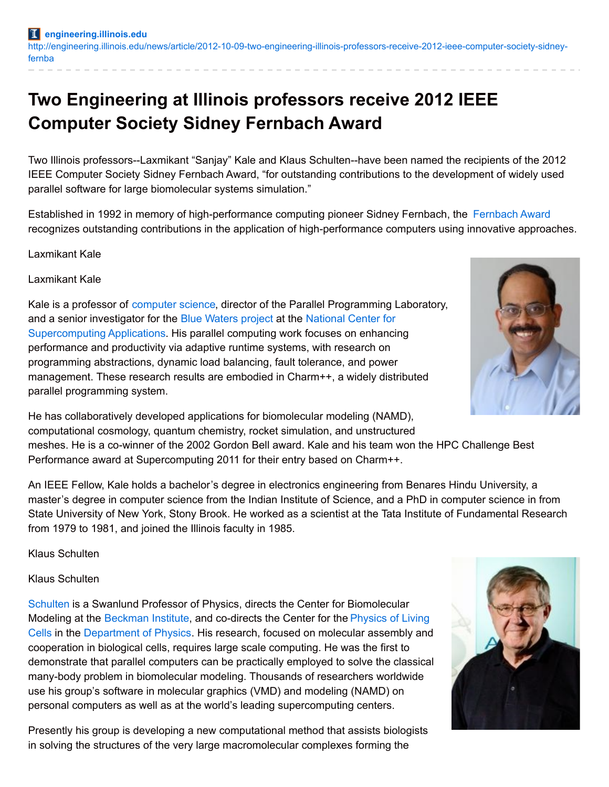## **Two Engineering at Illinois professors receive 2012 IEEE Computer Society Sidney Fernbach Award**

Two Illinois professors--Laxmikant "Sanjay" Kale and Klaus Schulten--have been named the recipients of the 2012 IEEE Computer Society Sidney Fernbach Award, "for outstanding contributions to the development of widely used parallel software for large biomolecular systems simulation."

Established in 1992 in memory of high-performance computing pioneer Sidney Fernbach, the Fernbach Award recognizes outstanding contributions in the application of high-performance computers using innovative approaches.

Laxmikant Kale

Laxmikant Kale

Kale is a professor of [computer](http://cs.illinois.edu/) science, director of the Parallel Programming Laboratory, and a senior investigator for the Blue [Waters](http://www.ncsa.illinois.edu/BlueWaters/) project at the National Center for [Supercomputing](http://www.ncsa.illinois.edu/) Applications. His parallel computing work focuses on enhancing performance and productivity via adaptive runtime systems, with research on programming abstractions, dynamic load balancing, fault tolerance, and power management. These research results are embodied in Charm++, a widely distributed parallel programming system.



He has collaboratively developed applications for biomolecular modeling (NAMD), computational cosmology, quantum chemistry, rocket simulation, and unstructured meshes. He is a co-winner of the 2002 Gordon Bell award. Kale and his team won the HPC Challenge Best Performance award at Supercomputing 2011 for their entry based on Charm++.

An IEEE Fellow, Kale holds a bachelor's degree in electronics engineering from Benares Hindu University, a master's degree in computer science from the Indian Institute of Science, and a PhD in computer science in from State University of New York, Stony Brook. He worked as a scientist at the Tata Institute of Fundamental Research from 1979 to 1981, and joined the Illinois faculty in 1985.

Klaus Schulten

## Klaus Schulten

[Schulten](http://physics.illinois.edu/people/profile.asp?schulten) is a Swanlund Professor of Physics, directs the Center for Biomolecular Modeling at the [Beckman](http://www.beckman.uiuc.edu/) Institute, and co-directs the Center for the Physics of Living Cells in the [Department](http://www.cplc.illinois.edu/) of Physics. His research, focused on molecular assembly and cooperation in biological cells, requires large scale computing. He was the first to demonstrate that parallel computers can be practically employed to solve the classical many-body problem in biomolecular modeling. Thousands of researchers worldwide use his group's software in molecular graphics (VMD) and modeling (NAMD) on personal computers as well as at the world's leading supercomputing centers.

Presently his group is developing a new computational method that assists biologists in solving the structures of the very large macromolecular complexes forming the